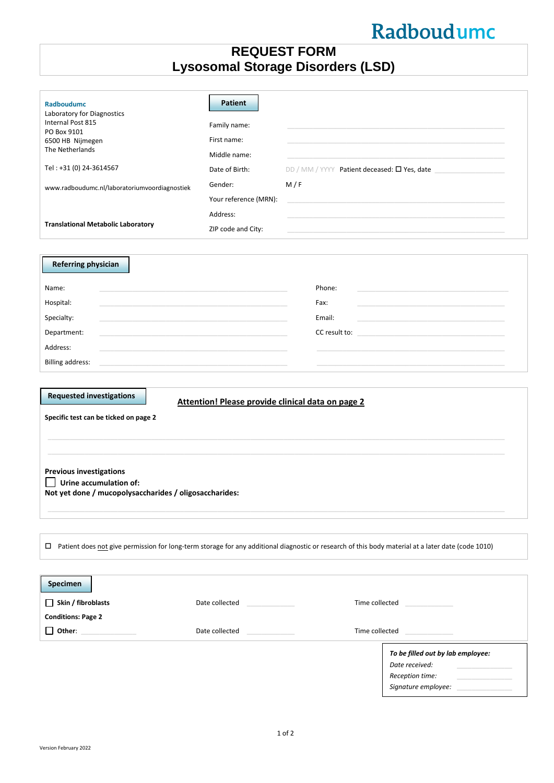# Radboudumc

# **REQUEST FORM Lysosomal Storage Disorders (LSD)**

| Radboudumc<br>Laboratory for Diagnostics<br>Internal Post 815<br>PO Box 9101<br>6500 HB Nijmegen<br>The Netherlands<br>Tel: +31 (0) 24-3614567<br>www.radboudumc.nl/laboratoriumvoordiagnostiek<br><b>Translational Metabolic Laboratory</b>        | <b>Patient</b><br>Family name:<br>First name:<br>Middle name:<br>Date of Birth:<br>Gender:<br>Your reference (MRN):<br>Address: | M/F                      | DD / MM / YYYY Patient deceased: $\square$ Yes, date                                                                                                                                                                          |  |
|-----------------------------------------------------------------------------------------------------------------------------------------------------------------------------------------------------------------------------------------------------|---------------------------------------------------------------------------------------------------------------------------------|--------------------------|-------------------------------------------------------------------------------------------------------------------------------------------------------------------------------------------------------------------------------|--|
|                                                                                                                                                                                                                                                     | ZIP code and City:                                                                                                              |                          | and the control of the control of the control of the control of the control of the control of the control of the                                                                                                              |  |
| <b>Referring physician</b><br>Name:<br>Hospital:<br>Specialty:<br>Department:<br>Address:<br><b>Billing address:</b>                                                                                                                                |                                                                                                                                 | Phone:<br>Fax:<br>Email: | CC result to: the contract of the contract of the contract of the contract of the contract of the contract of the contract of the contract of the contract of the contract of the contract of the contract of the contract of |  |
|                                                                                                                                                                                                                                                     |                                                                                                                                 |                          |                                                                                                                                                                                                                               |  |
| <b>Requested investigations</b><br>Attention! Please provide clinical data on page 2<br>Specific test can be ticked on page 2<br><b>Previous investigations</b><br>Urine accumulation of:<br>Not yet done / mucopolysaccharides / oligosaccharides: |                                                                                                                                 |                          |                                                                                                                                                                                                                               |  |
| □ Patient does not give permission for long-term storage for any additional diagnostic or research of this body material at a later date (code 1010)                                                                                                |                                                                                                                                 |                          |                                                                                                                                                                                                                               |  |
|                                                                                                                                                                                                                                                     |                                                                                                                                 |                          |                                                                                                                                                                                                                               |  |
| <b>Specimen</b><br>$\Box$ Skin / fibroblasts<br><b>Conditions: Page 2</b>                                                                                                                                                                           | Date collected<br>the control of the con-<br>Date collected<br><b>Contract Contract Contract</b>                                | Time collected           | and the control of the<br>Time collected and the collected                                                                                                                                                                    |  |
|                                                                                                                                                                                                                                                     |                                                                                                                                 |                          | To be filled out by lab employee:<br>Date received:<br>Reception time:                                                                                                                                                        |  |

*Signature employee:* \_\_\_\_\_\_\_\_\_\_\_\_\_\_\_